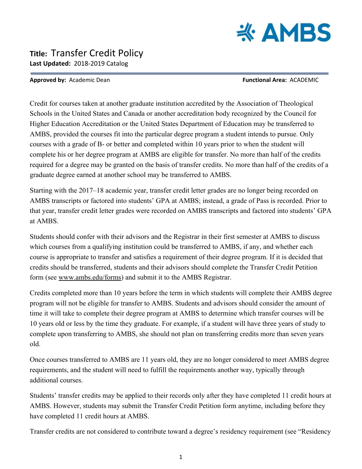

## **Title:** Transfer Credit Policy **Last Updated:** 2018-2019 Catalog

## **Approved by:** Academic Dean **Functional Area:** ACADEMIC

Credit for courses taken at another graduate institution accredited by the Association of Theological Schools in the United States and Canada or another accreditation body recognized by the Council for Higher Education Accreditation or the United States Department of Education may be transferred to AMBS, provided the courses fit into the particular degree program a student intends to pursue. Only courses with a grade of B- or better and completed within 10 years prior to when the student will complete his or her degree program at AMBS are eligible for transfer. No more than half of the credits required for a degree may be granted on the basis of transfer credits. No more than half of the credits of a graduate degree earned at another school may be transferred to AMBS.

Starting with the 2017–18 academic year, transfer credit letter grades are no longer being recorded on AMBS transcripts or factored into students' GPA at AMBS; instead, a grade of Pass is recorded. Prior to that year, transfer credit letter grades were recorded on AMBS transcripts and factored into students' GPA at AMBS.

Students should confer with their advisors and the Registrar in their first semester at AMBS to discuss which courses from a qualifying institution could be transferred to AMBS, if any, and whether each course is appropriate to transfer and satisfies a requirement of their degree program. If it is decided that credits should be transferred, students and their advisors should complete the Transfer Credit Petition form (see www.ambs.edu/forms) and submit it to the AMBS Registrar.

Credits completed more than 10 years before the term in which students will complete their AMBS degree program will not be eligible for transfer to AMBS. Students and advisors should consider the amount of time it will take to complete their degree program at AMBS to determine which transfer courses will be 10 years old or less by the time they graduate. For example, if a student will have three years of study to complete upon transferring to AMBS, she should not plan on transferring credits more than seven years old.

Once courses transferred to AMBS are 11 years old, they are no longer considered to meet AMBS degree requirements, and the student will need to fulfill the requirements another way, typically through additional courses.

Students' transfer credits may be applied to their records only after they have completed 11 credit hours at AMBS. However, students may submit the Transfer Credit Petition form anytime, including before they have completed 11 credit hours at AMBS.

Transfer credits are not considered to contribute toward a degree's residency requirement (see "Residency